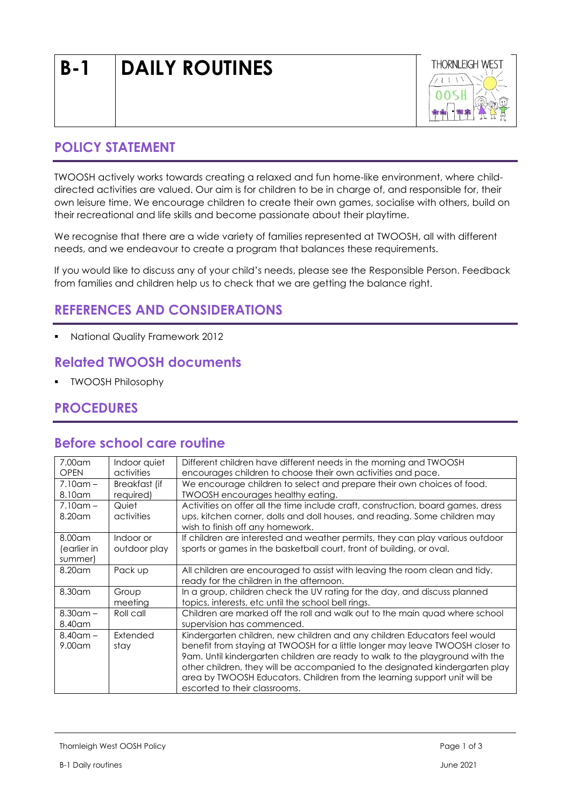# **B-1 DAILY ROUTINES**



#### **POLICY STATEMENT**

TWOOSH actively works towards creating a relaxed and fun home-like environment, where childdirected activities are valued. Our aim is for children to be in charge of, and responsible for, their own leisure time. We encourage children to create their own games, socialise with others, build on their recreational and life skills and become passionate about their playtime.

We recognise that there are a wide variety of families represented at TWOOSH, all with different needs, and we endeavour to create a program that balances these requirements.

If you would like to discuss any of your child's needs, please see the Responsible Person. Feedback from families and children help us to check that we are getting the balance right.

# **REFERENCES AND CONSIDERATIONS**

**National Quality Framework 2012** 

## **Related TWOOSH documents**

**• TWOOSH Philosophy** 

### **PROCEDURES**

#### **Before school care routine**

| 7.00 am<br><b>OPEN</b>              | Indoor quiet<br>activities | Different children have different needs in the morning and TWOOSH<br>encourages children to choose their own activities and pace.                                                                                                                                                                                                                                                                                                         |  |
|-------------------------------------|----------------------------|-------------------------------------------------------------------------------------------------------------------------------------------------------------------------------------------------------------------------------------------------------------------------------------------------------------------------------------------------------------------------------------------------------------------------------------------|--|
| $7.10$ am $-$<br>8.10 am            | Breakfast (if<br>required) | We encourage children to select and prepare their own choices of food.<br><b>TWOOSH</b> encourages healthy eating.                                                                                                                                                                                                                                                                                                                        |  |
| $7.10$ am $-$<br>$8.20$ am          | Quiet<br>activities        | Activities on offer all the time include craft, construction, board games, dress<br>ups, kitchen corner, dolls and doll houses, and reading. Some children may<br>wish to finish off any homework.                                                                                                                                                                                                                                        |  |
| $8.00$ am<br>(earlier in<br>summer) | Indoor or<br>outdoor play  | If children are interested and weather permits, they can play various outdoor<br>sports or games in the basketball court, front of building, or oval.                                                                                                                                                                                                                                                                                     |  |
| $8.20$ am                           | Pack up                    | All children are encouraged to assist with leaving the room clean and tidy,<br>ready for the children in the afternoon.                                                                                                                                                                                                                                                                                                                   |  |
| 8.30 am                             | Group<br>meeting           | In a group, children check the UV rating for the day, and discuss planned<br>topics, interests, etc until the school bell rings.                                                                                                                                                                                                                                                                                                          |  |
| $8.30$ am –<br>8.40am               | Roll call                  | Children are marked off the roll and walk out to the main guad where school<br>supervision has commenced.                                                                                                                                                                                                                                                                                                                                 |  |
| $8.40$ am $-$<br>$9.00$ am          | Extended<br>stay           | Kindergarten children, new children and any children Educators feel would<br>benefit from staying at TWOOSH for a little longer may leave TWOOSH closer to<br>9am. Until kindergarten children are ready to walk to the playground with the<br>other children, they will be accompanied to the designated kindergarten play<br>area by TWOOSH Educators. Children from the learning support unit will be<br>escorted to their classrooms. |  |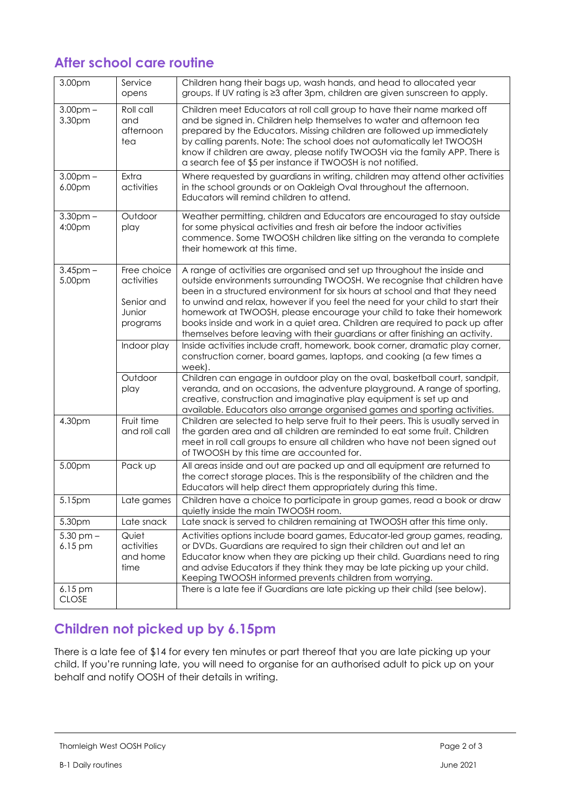# **After school care routine**

| 3.00pm                       | Service<br>opens                                              | Children hang their bags up, wash hands, and head to allocated year<br>groups. If UV rating is ≥3 after 3pm, children are given sunscreen to apply.                                                                                                                                                                                                                                                                                                                                                                                                                 |  |
|------------------------------|---------------------------------------------------------------|---------------------------------------------------------------------------------------------------------------------------------------------------------------------------------------------------------------------------------------------------------------------------------------------------------------------------------------------------------------------------------------------------------------------------------------------------------------------------------------------------------------------------------------------------------------------|--|
| $3.00pm -$<br>3.30pm         | $\overline{\text{Roll}}$ call<br>and<br>afternoon<br>tea      | Children meet Educators at roll call group to have their name marked off<br>and be signed in. Children help themselves to water and afternoon tea<br>prepared by the Educators. Missing children are followed up immediately<br>by calling parents. Note: The school does not automatically let TWOOSH<br>know if children are away, please notify TWOOSH via the family APP. There is<br>a search fee of \$5 per instance if TWOOSH is not notified.                                                                                                               |  |
| 3.00 <sub>pm</sub><br>6.00pm | Extra<br>activities                                           | Where requested by guardians in writing, children may attend other activities<br>in the school grounds or on Oakleigh Oval throughout the afternoon.<br>Educators will remind children to attend.                                                                                                                                                                                                                                                                                                                                                                   |  |
| 3.30 <sub>pm</sub><br>4:00pm | Outdoor<br>play                                               | Weather permitting, children and Educators are encouraged to stay outside<br>for some physical activities and fresh air before the indoor activities<br>commence. Some TWOOSH children like sitting on the veranda to complete<br>their homework at this time.                                                                                                                                                                                                                                                                                                      |  |
| $3.45$ pm $-$<br>5.00pm      | Free choice<br>activities<br>Senior and<br>Junior<br>programs | A range of activities are organised and set up throughout the inside and<br>outside environments surrounding TWOOSH. We recognise that children have<br>been in a structured environment for six hours at school and that they need<br>to unwind and relax, however if you feel the need for your child to start their<br>homework at TWOOSH, please encourage your child to take their homework<br>books inside and work in a quiet area. Children are required to pack up after<br>themselves before leaving with their guardians or after finishing an activity. |  |
|                              | Indoor play                                                   | Inside activities include craft, homework, book corner, dramatic play corner,<br>construction corner, board games, laptops, and cooking (a few times a<br>week).                                                                                                                                                                                                                                                                                                                                                                                                    |  |
|                              | Outdoor<br>play                                               | Children can engage in outdoor play on the oval, basketball court, sandpit,<br>veranda, and on occasions, the adventure playground. A range of sporting,<br>creative, construction and imaginative play equipment is set up and<br>available. Educators also arrange organised games and sporting activities.                                                                                                                                                                                                                                                       |  |
| 4.30pm                       | Fruit time<br>and roll call                                   | Children are selected to help serve fruit to their peers. This is usually served in<br>the garden area and all children are reminded to eat some fruit. Children<br>meet in roll call groups to ensure all children who have not been signed out<br>of TWOOSH by this time are accounted for.                                                                                                                                                                                                                                                                       |  |
| 5.00pm                       | Pack up                                                       | All areas inside and out are packed up and all equipment are returned to<br>the correct storage places. This is the responsibility of the children and the<br>Educators will help direct them appropriately during this time.                                                                                                                                                                                                                                                                                                                                       |  |
| 5.15pm                       | Late games                                                    | Children have a choice to participate in group games, read a book or draw<br>quietly inside the main TWOOSH room.                                                                                                                                                                                                                                                                                                                                                                                                                                                   |  |
| 5.30pm                       | Late snack                                                    | Late snack is served to children remaining at TWOOSH after this time only.                                                                                                                                                                                                                                                                                                                                                                                                                                                                                          |  |
| $5.30$ pm $-$<br>$6.15$ pm   | Quiet<br>activities<br>and home<br>time                       | Activities options include board games, Educator-led group games, reading,<br>or DVDs. Guardians are required to sign their children out and let an<br>Educator know when they are picking up their child. Guardians need to ring<br>and advise Educators if they think they may be late picking up your child.<br>Keeping TWOOSH informed prevents children from worrying.                                                                                                                                                                                         |  |
| $6.15$ pm<br><b>CLOSE</b>    |                                                               | There is a late fee if Guardians are late picking up their child (see below).                                                                                                                                                                                                                                                                                                                                                                                                                                                                                       |  |

# **Children not picked up by 6.15pm**

There is a late fee of \$14 for every ten minutes or part thereof that you are late picking up your child. If you're running late, you will need to organise for an authorised adult to pick up on your behalf and notify OOSH of their details in writing.